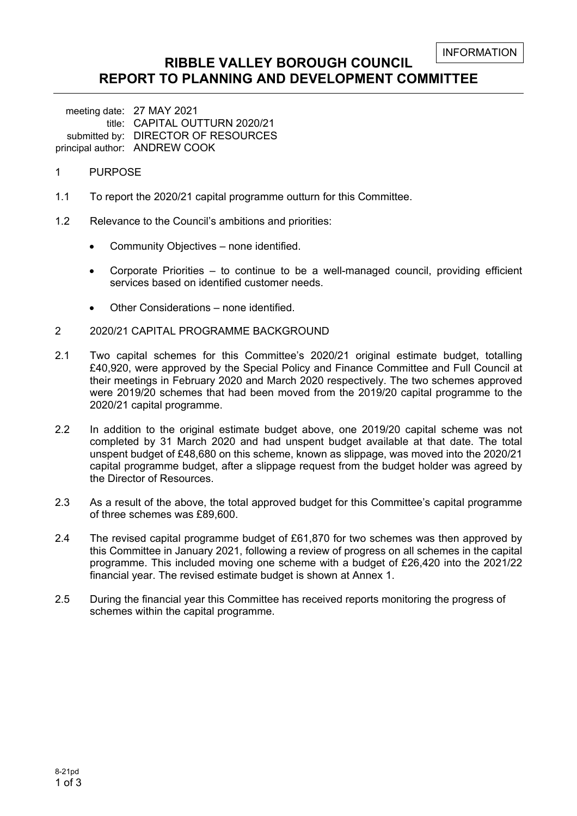```
INFORMATION
```
## **RIBBLE VALLEY BOROUGH COUNCIL REPORT TO PLANNING AND DEVELOPMENT COMMITTEE**

meeting date: 27 MAY 2021 title: CAPITAL OUTTURN 2020/21 submitted by: DIRECTOR OF RESOURCES principal author: ANDREW COOK

- 1 PURPOSE
- 1.1 To report the 2020/21 capital programme outturn for this Committee.
- 1.2 Relevance to the Council's ambitions and priorities:
	- Community Objectives none identified.
	- Corporate Priorities to continue to be a well-managed council, providing efficient services based on identified customer needs.
	- Other Considerations none identified.
- 2 2020/21 CAPITAL PROGRAMME BACKGROUND
- 2.1 Two capital schemes for this Committee's 2020/21 original estimate budget, totalling £40,920, were approved by the Special Policy and Finance Committee and Full Council at their meetings in February 2020 and March 2020 respectively. The two schemes approved were 2019/20 schemes that had been moved from the 2019/20 capital programme to the 2020/21 capital programme.
- 2.2 In addition to the original estimate budget above, one 2019/20 capital scheme was not completed by 31 March 2020 and had unspent budget available at that date. The total unspent budget of £48,680 on this scheme, known as slippage, was moved into the 2020/21 capital programme budget, after a slippage request from the budget holder was agreed by the Director of Resources.
- 2.3 As a result of the above, the total approved budget for this Committee's capital programme of three schemes was £89,600.
- 2.4 The revised capital programme budget of £61,870 for two schemes was then approved by this Committee in January 2021, following a review of progress on all schemes in the capital programme. This included moving one scheme with a budget of £26,420 into the 2021/22 financial year. The revised estimate budget is shown at Annex 1.
- 2.5 During the financial year this Committee has received reports monitoring the progress of schemes within the capital programme.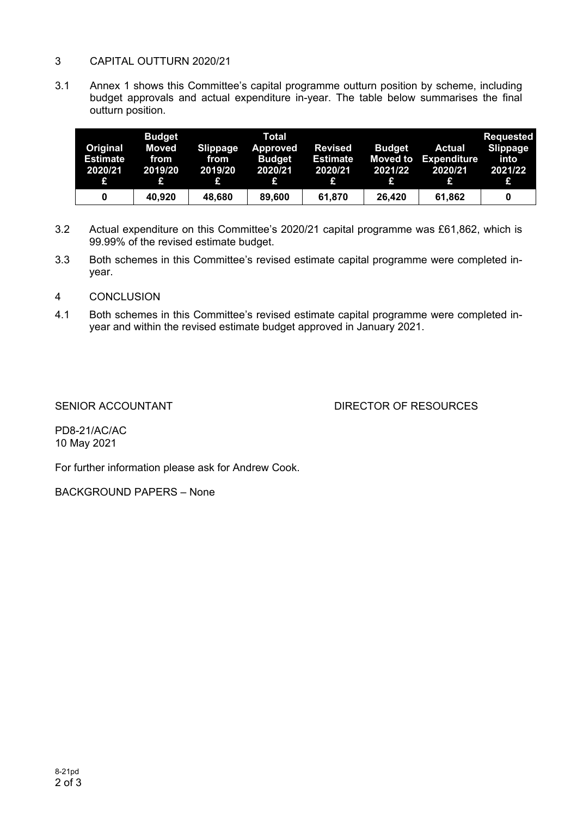### 3 CAPITAL OUTTURN 2020/21

3.1 Annex 1 shows this Committee's capital programme outturn position by scheme, including budget approvals and actual expenditure in-year. The table below summarises the final outturn position.

| Original<br><b>Estimate</b><br>2020/21<br>£ | <b>Budget</b><br>Moved<br>from<br>2019/20 | <b>Slippage</b><br>from<br>2019/20<br>£ | Total<br><b>Approved</b><br><b>Budget</b><br>2020/21<br>ĿΙ | <b>Revised</b><br><b>Estimate</b><br>2020/21<br>£ | <b>Budget</b><br><b>Moved to</b><br>2021/22<br>£ | <b>Actual</b><br><b>Expenditure</b><br>2020/21 | Requested<br><b>Slippage</b><br>into<br>2021/22<br>19 |
|---------------------------------------------|-------------------------------------------|-----------------------------------------|------------------------------------------------------------|---------------------------------------------------|--------------------------------------------------|------------------------------------------------|-------------------------------------------------------|
| 0                                           | 40,920                                    | 48.680                                  | 89,600                                                     | 61,870                                            | 26.420                                           | 61,862                                         | 0                                                     |

- 3.2 Actual expenditure on this Committee's 2020/21 capital programme was £61,862, which is 99.99% of the revised estimate budget.
- 3.3 Both schemes in this Committee's revised estimate capital programme were completed inyear.
- 4 CONCLUSION
- 4.1 Both schemes in this Committee's revised estimate capital programme were completed inyear and within the revised estimate budget approved in January 2021.

### SENIOR ACCOUNTANT **EXECUTE:** DIRECTOR OF RESOURCES

PD8-21/AC/AC 10 May 2021

For further information please ask for Andrew Cook.

BACKGROUND PAPERS – None